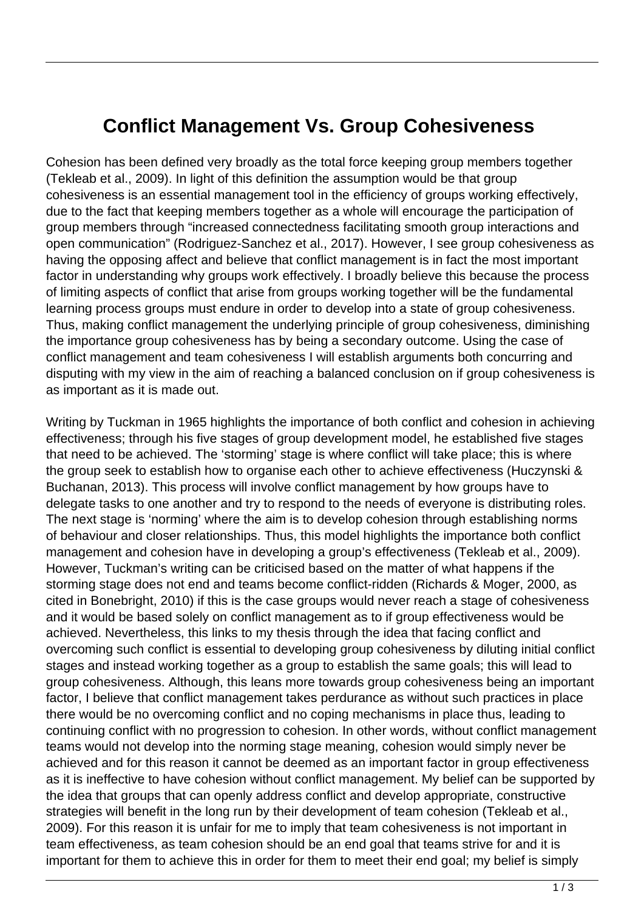## **Conflict Management Vs. Group Cohesiveness**

Cohesion has been defined very broadly as the total force keeping group members together (Tekleab et al., 2009). In light of this definition the assumption would be that group cohesiveness is an essential management tool in the efficiency of groups working effectively, due to the fact that keeping members together as a whole will encourage the participation of group members through "increased connectedness facilitating smooth group interactions and open communication" (Rodriguez-Sanchez et al., 2017). However, I see group cohesiveness as having the opposing affect and believe that conflict management is in fact the most important factor in understanding why groups work effectively. I broadly believe this because the process of limiting aspects of conflict that arise from groups working together will be the fundamental learning process groups must endure in order to develop into a state of group cohesiveness. Thus, making conflict management the underlying principle of group cohesiveness, diminishing the importance group cohesiveness has by being a secondary outcome. Using the case of conflict management and team cohesiveness I will establish arguments both concurring and disputing with my view in the aim of reaching a balanced conclusion on if group cohesiveness is as important as it is made out.

Writing by Tuckman in 1965 highlights the importance of both conflict and cohesion in achieving effectiveness; through his five stages of group development model, he established five stages that need to be achieved. The 'storming' stage is where conflict will take place; this is where the group seek to establish how to organise each other to achieve effectiveness (Huczynski & Buchanan, 2013). This process will involve conflict management by how groups have to delegate tasks to one another and try to respond to the needs of everyone is distributing roles. The next stage is 'norming' where the aim is to develop cohesion through establishing norms of behaviour and closer relationships. Thus, this model highlights the importance both conflict management and cohesion have in developing a group's effectiveness (Tekleab et al., 2009). However, Tuckman's writing can be criticised based on the matter of what happens if the storming stage does not end and teams become conflict-ridden (Richards & Moger, 2000, as cited in Bonebright, 2010) if this is the case groups would never reach a stage of cohesiveness and it would be based solely on conflict management as to if group effectiveness would be achieved. Nevertheless, this links to my thesis through the idea that facing conflict and overcoming such conflict is essential to developing group cohesiveness by diluting initial conflict stages and instead working together as a group to establish the same goals; this will lead to group cohesiveness. Although, this leans more towards group cohesiveness being an important factor, I believe that conflict management takes perdurance as without such practices in place there would be no overcoming conflict and no coping mechanisms in place thus, leading to continuing conflict with no progression to cohesion. In other words, without conflict management teams would not develop into the norming stage meaning, cohesion would simply never be achieved and for this reason it cannot be deemed as an important factor in group effectiveness as it is ineffective to have cohesion without conflict management. My belief can be supported by the idea that groups that can openly address conflict and develop appropriate, constructive strategies will benefit in the long run by their development of team cohesion (Tekleab et al., 2009). For this reason it is unfair for me to imply that team cohesiveness is not important in team effectiveness, as team cohesion should be an end goal that teams strive for and it is important for them to achieve this in order for them to meet their end goal; my belief is simply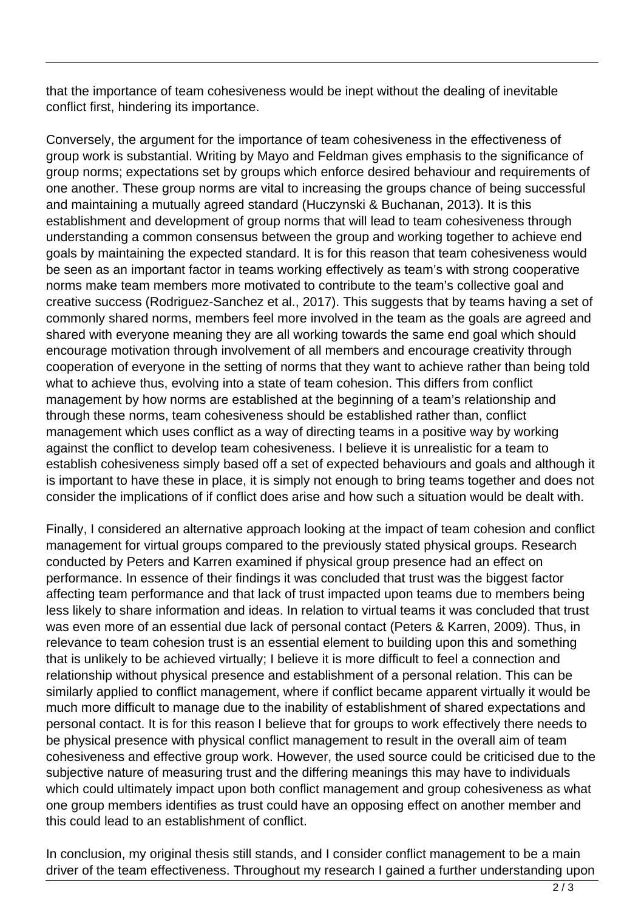that the importance of team cohesiveness would be inept without the dealing of inevitable conflict first, hindering its importance.

Conversely, the argument for the importance of team cohesiveness in the effectiveness of group work is substantial. Writing by Mayo and Feldman gives emphasis to the significance of group norms; expectations set by groups which enforce desired behaviour and requirements of one another. These group norms are vital to increasing the groups chance of being successful and maintaining a mutually agreed standard (Huczynski & Buchanan, 2013). It is this establishment and development of group norms that will lead to team cohesiveness through understanding a common consensus between the group and working together to achieve end goals by maintaining the expected standard. It is for this reason that team cohesiveness would be seen as an important factor in teams working effectively as team's with strong cooperative norms make team members more motivated to contribute to the team's collective goal and creative success (Rodriguez-Sanchez et al., 2017). This suggests that by teams having a set of commonly shared norms, members feel more involved in the team as the goals are agreed and shared with everyone meaning they are all working towards the same end goal which should encourage motivation through involvement of all members and encourage creativity through cooperation of everyone in the setting of norms that they want to achieve rather than being told what to achieve thus, evolving into a state of team cohesion. This differs from conflict management by how norms are established at the beginning of a team's relationship and through these norms, team cohesiveness should be established rather than, conflict management which uses conflict as a way of directing teams in a positive way by working against the conflict to develop team cohesiveness. I believe it is unrealistic for a team to establish cohesiveness simply based off a set of expected behaviours and goals and although it is important to have these in place, it is simply not enough to bring teams together and does not consider the implications of if conflict does arise and how such a situation would be dealt with.

Finally, I considered an alternative approach looking at the impact of team cohesion and conflict management for virtual groups compared to the previously stated physical groups. Research conducted by Peters and Karren examined if physical group presence had an effect on performance. In essence of their findings it was concluded that trust was the biggest factor affecting team performance and that lack of trust impacted upon teams due to members being less likely to share information and ideas. In relation to virtual teams it was concluded that trust was even more of an essential due lack of personal contact (Peters & Karren, 2009). Thus, in relevance to team cohesion trust is an essential element to building upon this and something that is unlikely to be achieved virtually; I believe it is more difficult to feel a connection and relationship without physical presence and establishment of a personal relation. This can be similarly applied to conflict management, where if conflict became apparent virtually it would be much more difficult to manage due to the inability of establishment of shared expectations and personal contact. It is for this reason I believe that for groups to work effectively there needs to be physical presence with physical conflict management to result in the overall aim of team cohesiveness and effective group work. However, the used source could be criticised due to the subjective nature of measuring trust and the differing meanings this may have to individuals which could ultimately impact upon both conflict management and group cohesiveness as what one group members identifies as trust could have an opposing effect on another member and this could lead to an establishment of conflict.

In conclusion, my original thesis still stands, and I consider conflict management to be a main driver of the team effectiveness. Throughout my research I gained a further understanding upon